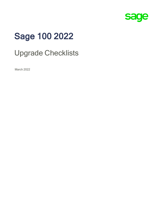

# Sage 100 2022

# Upgrade Checklists

March 2022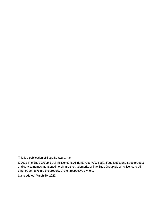This is a publication of Sage Software, Inc.

© 2022 The Sage Group plc or its licensors. All rights reserved. Sage, Sage logos, and Sage product and service names mentioned herein are the trademarks of The Sage Group plc or its licensors. All other trademarks are the property of their respective owners.

Last updated: March 10, 2022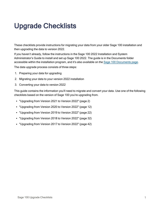# Upgrade Checklists

These checklists provide instructions for migrating your data from your older Sage 100 installation and then upgrading the data to version 2022.

If you haven't already, follow the instructions in the Sage 100 2022 Installation and System Administrator's Guide to install and set up Sage 100 2022. The guide is in the Documents folder accessible within the installation program, and it's also available on the Sage 100 [Documents](http://cdn.na.sage.com/docs/en/customer/100erp/Documentation.htm) page.

The data upgrade process consists of three steps:

- 1. Preparing your data for upgrading
- 2. Migrating your data to your version 2022 installation
- 3. Converting your data to version 2022

This guide contains the information you'll need to migrate and convert your data. Use one of the following checklists based on the version of Sage 100 you're upgrading from.

- ["Upgrading](#page-3-0) from Version 2021 to Version 2022" (page 2)
- ["Upgrading](#page-13-0) from Version 2020 to Version 2022" (page 12)
- <sup>l</sup> ["Upgrading](#page-23-0) from Version 2019 to Version 2022" (page 22)
- <sup>l</sup> ["Upgrading](#page-33-0) from Version 2018 to Version 2022" (page 32)
- ["Upgrading](#page-43-0) from Version 2017 to Version 2022" (page 42)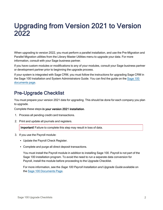# <span id="page-3-0"></span>Upgrading from Version 2021 to Version 2022

When upgrading to version 2022, you must perform a parallel installation, and use the Pre-Migration and Parallel Migration utilities from the Library Master Utilities menu to upgrade your data. For more information, consult with your Sage business partner.

If you have custom modules or modifications to any of your modules, consult your Sage business partner or development partner prior to beginning the upgrade process.

If your system is integrated with Sage CRM, you must follow the instructions for upgrading Sage CRM in the Sage 100 Installation and System Administrators Guide. You can find the guide on the [Sage](http://cdn.na.sage.com/docs/en/customer/100erp/Documentation.htm) 100 [documents](http://cdn.na.sage.com/docs/en/customer/100erp/Documentation.htm) page.

# <span id="page-3-1"></span>Pre-Upgrade Checklist

You must prepare your version 2021 data for upgrading. This should be done for each company you plan to upgrade.

Complete these steps in your version 2021 installation.

- 1. Process all pending credit card transactions.
- 2. Print and update all journals and registers.

Important! Failure to complete this step may result in loss of data.

- 3. If you use the Payroll module:
	- Update the Payroll Check Register.
	- Complete and purge all direct deposit transactions.

You must install the Payroll module in addition to installing Sage 100. Payroll is not part of the Sage 100 installation program. To avoid the need to run a separate data conversion for Payroll, install the module before proceeding to the Upgrade Checklist.

For more information, see the Sage 100 Payroll Installation and Upgrade Guide available on the Sage 100 [Documents](http://cdn.na.sage.com/docs/en/customer/100erp/Documentation.htm) Page.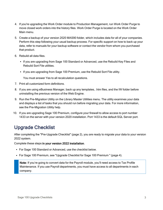- 4. If you're upgrading the Work Order module to Production Management, run Work Order Purge to move closed work orders into the history files. Work Order Purge is located on the Work Order Main menu.
- 5. Create a backup of your version 2020 MAS90 folder, which includes data for all of your companies. Perform this step following your usual backup process. For specific support on how to back up your data, refer to manuals for your backup software or contact the vendor from whom you purchased that product.
- 6. Rebuild all data files.
	- If you are upgrading from Sage 100 Standard or Advanced, use the Rebuild Key Files and Rebuild Sort File utilities.
	- If you are upgrading from Sage 100 Premium, use the Rebuild Sort File utility.

You must answer Yes to all recalculation questions.

- 7. Print all customized form definitions.
- 8. If you are using eBusiness Manager, back up any templates, .htm files, and the IW folder before uninstalling the previous version of the Web Engine.
- 9. Run the Pre-Migration Utility on the Library Master Utilities menu. The utility examines your data and displays a list of tasks that you should run before migrating your data. For more information, see the Pre-Migration Utility help.
- 10. If you are upgrading Sage 100 Premium, configure your firewall to allow access to port number 1433 on the server with your version 2020 installation. Port 1433 is the default SQL Server port.

## Upgrade Checklist

After completing the ["Pre-Upgrade](#page-3-1) Checklist" (page 2), you are ready to migrate your data to your version 2022 system.

Complete these steps in your version 2022 installation.

- For Sage 100 Standard or Advanced, use the checklist below.
- For Sage 100 Premium, see ["Upgrade](#page-5-0) Checklist for Sage 100 Premium " (page 4).

Note: If you're going to convert data for the Payroll module, you'll need access to Tax Profile Maintenance. If you use Payroll departments, you must have access to all departments in each company.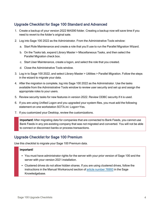## Upgrade Checklist for Sage 100 Standard and Advanced

- 1. Create a backup of your version 2022 MAS90 folder. Creating a backup now will save time if you need to revert to the folder's original sate.
- 2. Log into Sage 100 2022 as the Administrator. From the Administrative Tools window:
	- a. Start Role Maintenance and create a role that you'll use to run the Parallel Migration Wizard.
	- b. On the Tasks tab, expand Library Master > Miscellaneous Tasks, and then select the Parallel Migration check box.
	- c. Start User Maintenance, create a logon, and select the role that you created.
	- d. Close the Administrative Tools window.
- 3. Log in to Sage 100 2022, and select Library Master > Utilities > Parallel Migration. Follow the steps in the wizard to migrate your data.
- 4. After the migration is complete, log into Sage 100 2022 as the Administrator. Use the tasks available from the Administrative Tools window to review user security and set up and assign the appropriate roles to your users.
- 5. Review security tasks for new features in version 2022. Review ODBC security if it is used.
- 6. If you are using Unified Logon and you upgraded your system files, you must add the following statement on one workstation SOTA.ini: Logon=Yes.
- 7. If you customized your Desktop, review the customizations.

Important! After migrating data for companies that are connected to Bank Feeds, you cannot use Bank Feeds in any pre-existing company that was not migrated and converted. You will not be able to connect or disconnect banks or process transactions.

## <span id="page-5-0"></span>Upgrade Checklist for Sage 100 Premium

Use this checklist to migrate your Sage 100 Premium data.

#### Important!

- You must have administrator rights for the server with your prior version of Sage 100 and the server with your version 2021 installation.
- Clustered drives do not allow hidden shares. If you are using clustered drives, follow the instructions in the Manual Workaround section of article [number](https://support.na.sage.com/selfservice/viewdocument.do?noCount=true&externalId=76993) 76993 in the Sage Knowledgebase.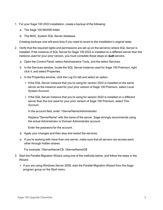- 1. For your Sage 100 2022 installation, create a backup of the following:
	- a. The Sage 100 MAS90 folder
	- b. The MAS System SQL Server database

Creating backups now will save time if you need to revert to the installation's original state.

- 2. Verify that the required rights and permissions are set up on the server(s) where SQL Server is installed. If the instance of SQL Server for Sage 100 2022 is installed on a different server than the instance used for your prior version, you must complete these steps on **both** servers.
	- a. Open the Control Panel, select Administrative Tools, and the select Services.
	- b. In the Services window, locate the SQL Server instance used for Sage 100 Premium, right click it, and select Properties.
	- c. In the Properties window, click the Log On tab and select an option.
		- If the SQL Server instance that you're using for version 2022 is installed on the same server as the instance used for your prior version of Sage 100 Premium, select Local System Account.
		- If the SQL Server instance that you're using for version 2022 is installed on a different server than the one used for your prior version of Sage 100 Premium, select This Account.

In the account field, enter: \\ServerName\Administrator

Replace "ServerName" with the name of the server. Sage strongly recommends using the actual Administrator or Domain Administrator account.

Enter the password for the account.

- d. Apply your changes and then stop and restart the services.
- e. If you're working with more than one server, make sure that all servers can access each other through hidden shares.

For example: \\ServerName\C\$, \\ServerName\D\$

- 3. Start the Parallel Migration Wizard using one of the methods below, and follow the steps in the Wizard.
	- If you are using Windows Server 2008, start the Parallel Migration Wizard from the Sage program group on the Start menu.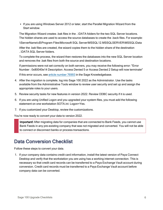• If you are using Windows Server 2012 or later, start the Parallel Migration Wizard from the Start window.

The Migration Wizard creates .bak files in the ..\DATA folders for the two SQL Server locations. The hidden shares are used to access the source databases to create the .back files. For example:

\\ServerName\c\$\Program Files\Microsoft SQL Server\MSSQL12.MSSQLSERVER\MSSQL\Data

After the .bak files are created, the wizard copies them to the hidden share of the destination ..\DATA SQL Server folders.

To complete the process, the wizard then restores the databases into the new SQL Server location and removes the .bak files from both the source and destination locations.

If permissions were not set correctly on both servers, you may receive the following error: "Error Number : 0x80040e14 Description: Access Denied 5 or Access Denied 2 Setup will now terminate"

If this error occurs, see article [number](https://support.na.sage.com/selfservice/viewdocument.do?noCount=true&externalId=76993) 76993 in the Sage Knowledgebase.

- 4. After the migration is complete, log into Sage 100 2022 as the Administrator. Use the tasks available from the Administrative Tools window to review user security and set up and assign the appropriate roles to your users.
- 5. Review security tasks for new features in version 2022. Review ODBC security if it is used.
- 6. If you are using Unified Logon and you upgraded your system files, you must add the following statement on one workstation SOTA.ini: Logon=Yes.
- 7. If you customized your Desktop, review the customizations.

You're now ready to convert your data to version 2022.

Important! After migrating data for companies that are connected to Bank Feeds, you cannot use Bank Feeds in any pre-existing company that was not migrated and converted. You will not be able to connect or disconnect banks or process transactions.

# Data Conversion Checklist

Follow these steps to convert your data.

1. If your company data contains credit card information, install the latest version of Paya Connect Desktop and verify that the workstation you are using has a working internet connection. This is necessary so that credit card records can be transferred to a Paya Exchange Vault account during conversion. Credit card records must be transferred to a Paya Exchange Vault account before company data can be converted.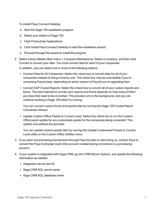To install Paya Connect Desktop:

- a. Start the Sage 100 installation program.
- b. Select your edition of Sage 100.
- c. Click Productivity Applications.
- d. Click Install Paya Connect Desktop to start the installation wizard.
- e. Proceed through the wizard to install the program.
- 2. Select Library Master Main menu > Company Maintenance. Select a company, and then click Convert to convert your data. You must convert data for each of your companies.

In addition, you can select one or more of the following options:

- Convert Data for All Companies: Select this check box to convert data for all of your companies instead of doing it one-by-one. This check box may be unavailable if you're converting Payroll data, depending on which version of Payroll you're upgrading from.
- Convert SAP Crystal Reports: Select this check box to convert all of your custom reports and forms. The time required to convert your reports and forms depends on how many of them you have that need to be converted. The process runs in the background, and you can continue working in Sage 100 while it's running.

You can convert custom forms and reports later by running the Sage 100 Crystal Report Conversion Wizard.

• Update Custom Office Panels to Current Level: Select this check box to run the Custom Office panel update for any customized panels for the companies being converted. This update runs without any prompts.

You can update custom panels later by running the Update Customized Panels to Current Level utility on the Custom Office Utilities menu.

- 3. If you were not processing transactions through Paya but plan to start doing so, contact Paya to convert the Paya Exchange Vault-Only account created during conversion to a processing account.
- 4. If your system is integrated with Sage CRM, go into CRM Server Options, and update the following information as needed.
	- Integration server port ID
	- Sage CRM SQL server name
	- Sage CRM SQL database name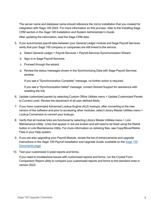The server name and database name should reference the mirror installation that you created for integration with Sage 100 2022. For more information on this process, refer to the Installing Sage CRM section in the Sage 100 Installation and System Administrator's Guide.

After updating the information, load the Sage CRM data.

- 5. If you synchronize payroll data between your General Ledger module and Sage Payroll Services, verify that your Sage 100 company or companies are still linked to the service.
	- a. Select General Ledger > Payroll Services > Payroll Services Synchronization Wizard.
	- b. Sign in to Sage Payroll Services.
	- c. Proceed through the wizard.
	- d. Review the status messages shown in the Synchronizing Data with Sage Payroll Services window.

If you see a "Synchronization Complete" message, no further action is required.

If you see a "Synchronization failed" message, contact iSolved Support for assistance with resetting the link.

- 6. Update customized panels by selecting Custom Office Utilities menu > Update Customized Panels to Current Level. Review the placement of all user-defined fields.
- 7. If you have customized Advanced Lookup Engine (ALE) lookups, after converting to the new version of the software and prior to accessing other modules, select Library Master Utilities menu > Lookup Conversion to convert your lookups.
- 8. Verify that all module links are functional by selecting Library Master Utilities menu > Link Maintenance Utility. Links that appear in red are broken and will need to be fixed using the Relink button in Link Maintenance Utility. For more information on relinking files, see Copy/Move/Relink Files in your Help system.
- 9. If you are also upgrading your Payroll Module, review the list of enhancements and upgrade instructions in the [Sage](http://cdn.na.sage.com/docs/en/customer/100erp/Documentation.htm) 100 Payroll Installation and Upgrade Guide, available on the Sage 100 [Documents](http://cdn.na.sage.com/docs/en/customer/100erp/Documentation.htm) page.
- 10. Test your customized Crystal reports and forms.

If you need to troubleshoot issues with customized reports and forms, run the Crystal Form Comparison Report utility to compare your customized reports and forms to the standard ones in version 2022.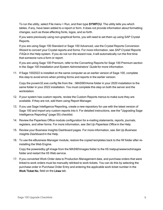To run the utility, select File menu > Run, and then type **SYWFCU**. The utility tells you which tables, if any, have been added to a report or form. It does not provide information about formatting changes, such as those affecting fonts, logos, and so forth.

If you were previously using non-graphical forms, you will need to set them up using SAP Crystal Reports.

If you are using Sage 100 Standard or Sage 100 Advanced, use the Crystal Reports Conversion Wizard to convert your Crystal reports and forms. For more information, see SAP Crystal Reports FAQs in the Help system. If you do not run the wizard now, it will automatically run the first time that someone runs a form or report.

If you are using Sage 100 Premium, refer to the Converting Reports for Sage 100 Premium section in the Sage 100 Installation and System Administrators' Guide for more information.

11. If Sage 1002022 is installed on the same computer as an earlier version of Sage 100, complete this step to avoid errors when printing forms and reports in the earlier version:

Copy the pvxwin32.exe.config file from the ..\MAS90\Home folder in your 2020 installation to the same folder in your 2022 installation. You must complete this step on both the server and the workstation.

- 12. If your system has custom reports, review the Custom Reports menus to make sure they are available. If they are not, add them using Report Manager.
- 13. If you use Sage Intelligence Reporting, create a new repository for use with the latest version of Sage 100 and import any custom reports into it. For detailed instructions, see the ["Upgrading](#page-56-0) Sage [Intelligence](#page-56-0) Reporting" (page 55) checklist.
- 14. Review the Paperless Office module configuration for e-mailing statements, reports, journals, registers, and other forms. For more information, see Set Up Paperless Office in the Help.
- 15. Review your Business Insights Dashboard pages. For more information, see Set Up Business Insights Dashboard in the Help.
- 16. To use the eBusiness Manager module, restore the copied templates back to the IW folder after reinstalling the Web Engine.

Copy the poweredby.gif image from the MAS90\Images folder to the IIS Inetpup\wwwroot\images folder and restart the IIS Web service.

17. If you converted Work Order data to Production Management data, and purchase orders that were linked to work orders must be manually relinked to work tickets. You can do this by selecting the purchase order in Purchase Order Entry and entering the applicable work ticket number in the Work Ticket No. field on the Lines tab.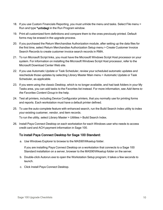- 18. If you use Custom Financials Reporting, you must unhide the menu and tasks. Select File menu > Run and type \*unhidegl in the Run Program window.
- 19. Print all customized form definitions and compare them to the ones previously printed. Default forms may be erased in the upgrade process.
- 20. If you purchased the Return Merchandise Authorization module, after setting up the data files for the first time, select Return Merchandise Authorization Setup menu > Create Customer Invoice Search Records to create customer invoice search records in RMA.
- 21. To run Microsoft Script links, you must have the Microsoft Windows Script Host processor on your system. For information on installing the Microsoft Windows Script Host processor, refer to the Microsoft Download Center Web site.
- 22. If you use Automatic Update or Task Scheduler, review your scheduled automatic updates and reschedule those updates by selecting Library Master Main menu > Automatic Update or Task Scheduler, as applicable.
- 23. If you were using the classic Desktop, which is no longer available, and had task folders in your My Tasks area, you can add tasks to the Favorites list instead. For more information, see Add Items to the Favorites Content Group in the help.
- 24. Test all printers, including Device Configurator printers, that you normally use for printing forms and reports. Each workstation must have a default printer defined.
- 25. To use the auto-complete feature with enhanced search, run the Build Search Index utility to index your existing customer, vendor, and item records.

To run the utility, select Library Master > Utilities > Build Search Index.

26. Install Paya Connect Desktop on each workstation for each Windows user who needs to access credit card and ACH payment information in Sage 100.

## To install Paya Connect Desktop for Sage 100 Standard:

a. Use Windows Explorer to browse to the MAS90\Wksetup folder.

If you are installing Paya Connect Desktop on a workstation that connects to a Sage 100 Standard installation on a server, browser to the MAS90\Wksetup folder on the server.

- b. Double-click Autorun.exe to open the Workstation Setup program; it takes a few seconds to launch.
- c. Click Install Paya Connect Desktop.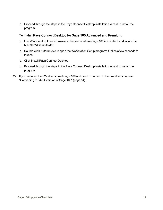d. Proceed through the steps in the Paya Connect Desktop installation wizard to install the program.

### To install Paya Connect Desktop for Sage 100 Advanced and Premium:

- a. Use Windows Explorer to browse to the server where Sage 100 is installed, and locate the MAS90\Wksetup folder.
- b. Double-click Autorun.exe to open the Workstation Setup program; it takes a few seconds to launch.
- c. Click Install Paya Connect Desktop.
- d. Proceed through the steps in the Paya Connect Desktop installation wizard to install the program.
- 27. If you installed the 32-bit version of Sage 100 and need to convert to the 64-bit version, see ["Converting](#page-55-0) to 64-bit Version of Sage 100" (page 54).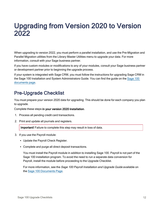# <span id="page-13-0"></span>Upgrading from Version 2020 to Version 2022

When upgrading to version 2022, you must perform a parallel installation, and use the Pre-Migration and Parallel Migration utilities from the Library Master Utilities menu to upgrade your data. For more information, consult with your Sage business partner.

If you have custom modules or modifications to any of your modules, consult your Sage business partner or development partner prior to beginning the upgrade process.

If your system is integrated with Sage CRM, you must follow the instructions for upgrading Sage CRM in the Sage 100 Installation and System Administrators Guide. You can find the guide on the [Sage](http://cdn.na.sage.com/docs/en/customer/100erp/Documentation.htm) 100 [documents](http://cdn.na.sage.com/docs/en/customer/100erp/Documentation.htm) page.

# <span id="page-13-1"></span>Pre-Upgrade Checklist

You must prepare your version 2020 data for upgrading. This should be done for each company you plan to upgrade.

Complete these steps in your version 2020 installation.

- 1. Process all pending credit card transactions.
- 2. Print and update all journals and registers.

Important! Failure to complete this step may result in loss of data.

- 3. If you use the Payroll module:
	- Update the Payroll Check Register.
	- Complete and purge all direct deposit transactions.

You must install the Payroll module in addition to installing Sage 100. Payroll is not part of the Sage 100 installation program. To avoid the need to run a separate data conversion for Payroll, install the module before proceeding to the Upgrade Checklist.

For more information, see the *Sage 100 Payroll Installation and Upgrade Guide* available on the Sage 100 [Documents](http://cdn.na.sage.com/docs/en/customer/100erp/Documentation.htm) Page.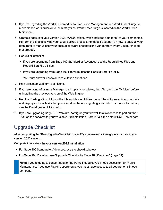- 4. If you're upgrading the Work Order module to Production Management, run Work Order Purge to move closed work orders into the history files. Work Order Purge is located on the Work Order Main menu.
- 5. Create a backup of your version 2020 MAS90 folder, which includes data for all of your companies. Perform this step following your usual backup process. For specific support on how to back up your data, refer to manuals for your backup software or contact the vendor from whom you purchased that product.
- 6. Rebuild all data files.
	- If you are upgrading from Sage 100 Standard or Advanced, use the Rebuild Key Files and Rebuild Sort File utilities.
	- If you are upgrading from Sage 100 Premium, use the Rebuild Sort File utility.

You must answer Yes to all recalculation questions.

- 7. Print all customized form definitions.
- 8. If you are using eBusiness Manager, back up any templates, .htm files, and the IW folder before uninstalling the previous version of the Web Engine.
- 9. Run the Pre-Migration Utility on the Library Master Utilities menu. The utility examines your data and displays a list of tasks that you should run before migrating your data. For more information, see the Pre-Migration Utility help.
- 10. If you are upgrading Sage 100 Premium, configure your firewall to allow access to port number 1433 on the server with your version 2020 installation. Port 1433 is the default SQL Server port.

## Upgrade Checklist

After completing the ["Pre-Upgrade](#page-13-1) Checklist" (page 12), you are ready to migrate your data to your version 2022 system.

Complete these steps in your version 2022 installation.

- For Sage 100 Standard or Advanced, use the checklist below.
- For Sage 100 Premium, see ["Upgrade](#page-15-0) Checklist for Sage 100 Premium " (page 14).

Note: If you're going to convert data for the Payroll module, you'll need access to Tax Profile Maintenance. If you use Payroll departments, you must have access to all departments in each company.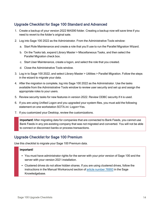## Upgrade Checklist for Sage 100 Standard and Advanced

- 1. Create a backup of your version 2022 MAS90 folder. Creating a backup now will save time if you need to revert to the folder's original sate.
- 2. Log into Sage 100 2022 as the Administrator. From the Administrative Tools window:
	- a. Start Role Maintenance and create a role that you'll use to run the Parallel Migration Wizard.
	- b. On the Tasks tab, expand Library Master > Miscellaneous Tasks, and then select the Parallel Migration check box.
	- c. Start User Maintenance, create a logon, and select the role that you created.
	- d. Close the Administrative Tools window.
- 3. Log in to Sage 100 2022, and select Library Master > Utilities > Parallel Migration. Follow the steps in the wizard to migrate your data.
- 4. After the migration is complete, log into Sage 100 2022 as the Administrator. Use the tasks available from the Administrative Tools window to review user security and set up and assign the appropriate roles to your users.
- 5. Review security tasks for new features in version 2022. Review ODBC security if it is used.
- 6. If you are using Unified Logon and you upgraded your system files, you must add the following statement on one workstation SOTA.ini: Logon=Yes.
- 7. If you customized your Desktop, review the customizations.

Important! After migrating data for companies that are connected to Bank Feeds, you cannot use Bank Feeds in any pre-existing company that was not migrated and converted. You will not be able to connect or disconnect banks or process transactions.

## <span id="page-15-0"></span>Upgrade Checklist for Sage 100 Premium

Use this checklist to migrate your Sage 100 Premium data.

#### Important!

- You must have administrator rights for the server with your prior version of Sage 100 and the server with your version 2021 installation.
- Clustered drives do not allow hidden shares. If you are using clustered drives, follow the instructions in the Manual Workaround section of article [number](https://support.na.sage.com/selfservice/viewdocument.do?noCount=true&externalId=76993) 76993 in the Sage Knowledgebase.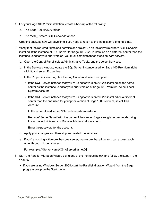- 1. For your Sage 100 2022 installation, create a backup of the following:
	- a. The Sage 100 MAS90 folder
	- b. The MAS System SQL Server database

Creating backups now will save time if you need to revert to the installation's original state.

- 2. Verify that the required rights and permissions are set up on the server(s) where SQL Server is installed. If the instance of SQL Server for Sage 100 2022 is installed on a different server than the instance used for your prior version, you must complete these steps on **both** servers.
	- a. Open the Control Panel, select Administrative Tools, and the select Services.
	- b. In the Services window, locate the SQL Server instance used for Sage 100 Premium, right click it, and select Properties.
	- c. In the Properties window, click the Log On tab and select an option.
		- If the SQL Server instance that you're using for version 2022 is installed on the same server as the instance used for your prior version of Sage 100 Premium, select Local System Account.
		- If the SQL Server instance that you're using for version 2022 is installed on a different server than the one used for your prior version of Sage 100 Premium, select This Account.

In the account field, enter: \\ServerName\Administrator

Replace "ServerName" with the name of the server. Sage strongly recommends using the actual Administrator or Domain Administrator account.

Enter the password for the account.

- d. Apply your changes and then stop and restart the services.
- e. If you're working with more than one server, make sure that all servers can access each other through hidden shares.

For example: \\ServerName\C\$, \\ServerName\D\$

- 3. Start the Parallel Migration Wizard using one of the methods below, and follow the steps in the Wizard.
	- If you are using Windows Server 2008, start the Parallel Migration Wizard from the Sage program group on the Start menu.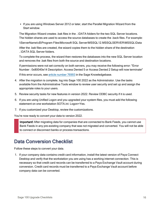• If you are using Windows Server 2012 or later, start the Parallel Migration Wizard from the Start window.

The Migration Wizard creates .bak files in the ..\DATA folders for the two SQL Server locations. The hidden shares are used to access the source databases to create the .back files. For example:

\\ServerName\c\$\Program Files\Microsoft SQL Server\MSSQL12.MSSQLSERVER\MSSQL\Data

After the .bak files are created, the wizard copies them to the hidden share of the destination ..\DATA SQL Server folders.

To complete the process, the wizard then restores the databases into the new SQL Server location and removes the .bak files from both the source and destination locations.

If permissions were not set correctly on both servers, you may receive the following error: "Error Number : 0x80040e14 Description: Access Denied 5 or Access Denied 2 Setup will now terminate"

If this error occurs, see article [number](https://support.na.sage.com/selfservice/viewdocument.do?noCount=true&externalId=76993) 76993 in the Sage Knowledgebase.

- 4. After the migration is complete, log into Sage 100 2022 as the Administrator. Use the tasks available from the Administrative Tools window to review user security and set up and assign the appropriate roles to your users.
- 5. Review security tasks for new features in version 2022. Review ODBC security if it is used.
- 6. If you are using Unified Logon and you upgraded your system files, you must add the following statement on one workstation SOTA.ini: Logon=Yes.
- 7. If you customized your Desktop, review the customizations.

You're now ready to convert your data to version 2022.

Important! After migrating data for companies that are connected to Bank Feeds, you cannot use Bank Feeds in any pre-existing company that was not migrated and converted. You will not be able to connect or disconnect banks or process transactions.

# Data Conversion Checklist

Follow these steps to convert your data.

1. If your company data contains credit card information, install the latest version of Paya Connect Desktop and verify that the workstation you are using has a working internet connection. This is necessary so that credit card records can be transferred to a Paya Exchange Vault account during conversion. Credit card records must be transferred to a Paya Exchange Vault account before company data can be converted.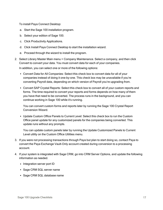To install Paya Connect Desktop:

- a. Start the Sage 100 installation program.
- b. Select your edition of Sage 100.
- c. Click Productivity Applications.
- d. Click Install Paya Connect Desktop to start the installation wizard.
- e. Proceed through the wizard to install the program.
- 2. Select Library Master Main menu > Company Maintenance. Select a company, and then click Convert to convert your data. You must convert data for each of your companies.

In addition, you can select one or more of the following options:

- Convert Data for All Companies: Select this check box to convert data for all of your companies instead of doing it one-by-one. This check box may be unavailable if you're converting Payroll data, depending on which version of Payroll you're upgrading from.
- Convert SAP Crystal Reports: Select this check box to convert all of your custom reports and forms. The time required to convert your reports and forms depends on how many of them you have that need to be converted. The process runs in the background, and you can continue working in Sage 100 while it's running.

You can convert custom forms and reports later by running the Sage 100 Crystal Report Conversion Wizard.

• Update Custom Office Panels to Current Level: Select this check box to run the Custom Office panel update for any customized panels for the companies being converted. This update runs without any prompts.

You can update custom panels later by running the Update Customized Panels to Current Level utility on the Custom Office Utilities menu.

- 3. If you were not processing transactions through Paya but plan to start doing so, contact Paya to convert the Paya Exchange Vault-Only account created during conversion to a processing account.
- 4. If your system is integrated with Sage CRM, go into CRM Server Options, and update the following information as needed.
	- Integration server port ID
	- Sage CRM SQL server name
	- Sage CRM SQL database name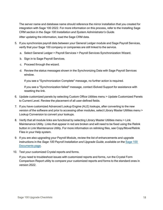The server name and database name should reference the mirror installation that you created for integration with Sage 100 2022. For more information on this process, refer to the Installing Sage CRM section in the Sage 100 Installation and System Administrator's Guide.

After updating the information, load the Sage CRM data.

- 5. If you synchronize payroll data between your General Ledger module and Sage Payroll Services, verify that your Sage 100 company or companies are still linked to the service.
	- a. Select General Ledger > Payroll Services > Payroll Services Synchronization Wizard.
	- b. Sign in to Sage Payroll Services.
	- c. Proceed through the wizard.
	- d. Review the status messages shown in the Synchronizing Data with Sage Payroll Services window.

If you see a "Synchronization Complete" message, no further action is required.

If you see a "Synchronization failed" message, contact iSolved Support for assistance with resetting the link.

- 6. Update customized panels by selecting Custom Office Utilities menu > Update Customized Panels to Current Level. Review the placement of all user-defined fields.
- 7. If you have customized Advanced Lookup Engine (ALE) lookups, after converting to the new version of the software and prior to accessing other modules, select Library Master Utilities menu > Lookup Conversion to convert your lookups.
- 8. Verify that all module links are functional by selecting Library Master Utilities menu > Link Maintenance Utility. Links that appear in red are broken and will need to be fixed using the Relink button in Link Maintenance Utility. For more information on relinking files, see Copy/Move/Relink Files in your Help system.
- 9. If you are also upgrading your Payroll Module, review the list of enhancements and upgrade instructions in the [Sage](http://cdn.na.sage.com/docs/en/customer/100erp/Documentation.htm) 100 Payroll Installation and Upgrade Guide, available on the Sage 100 [Documents](http://cdn.na.sage.com/docs/en/customer/100erp/Documentation.htm) page.
- 10. Test your customized Crystal reports and forms.

If you need to troubleshoot issues with customized reports and forms, run the Crystal Form Comparison Report utility to compare your customized reports and forms to the standard ones in version 2022.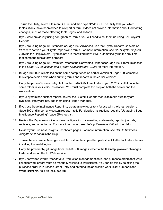To run the utility, select File menu > Run, and then type SYWFCU. The utility tells you which tables, if any, have been added to a report or form. It does not provide information about formatting changes, such as those affecting fonts, logos, and so forth.

If you were previously using non-graphical forms, you will need to set them up using SAP Crystal Reports.

If you are using Sage 100 Standard or Sage 100 Advanced, use the Crystal Reports Conversion Wizard to convert your Crystal reports and forms. For more information, see SAP Crystal Reports FAQs in the Help system. If you do not run the wizard now, it will automatically run the first time that someone runs a form or report.

If you are using Sage 100 Premium, refer to the Converting Reports for Sage 100 Premium section in the Sage 100 Installation and System Administrators' Guide for more information.

11. If Sage 1002022 is installed on the same computer as an earlier version of Sage 100, complete this step to avoid errors when printing forms and reports in the earlier version:

Copy the pvxwin32.exe.config file from the ..\MAS90\Home folder in your 2020 installation to the same folder in your 2022 installation. You must complete this step on both the server and the workstation.

- 12. If your system has custom reports, review the Custom Reports menus to make sure they are available. If they are not, add them using Report Manager.
- 13. If you use Sage Intelligence Reporting, create a new repository for use with the latest version of Sage 100 and import any custom reports into it. For detailed instructions, see the ["Upgrading](#page-56-0) Sage [Intelligence](#page-56-0) Reporting" (page 55) checklist.
- 14. Review the Paperless Office module configuration for e-mailing statements, reports, journals, registers, and other forms. For more information, see Set Up Paperless Office in the Help.
- 15. Review your Business Insights Dashboard pages. For more information, see Set Up Business Insights Dashboard in the Help.
- 16. To use the eBusiness Manager module, restore the copied templates back to the IW folder after reinstalling the Web Engine.

Copy the poweredby.gif image from the MAS90\Images folder to the IIS Inetpup\wwwroot\images folder and restart the IIS Web service.

17. If you converted Work Order data to Production Management data, and purchase orders that were linked to work orders must be manually relinked to work tickets. You can do this by selecting the purchase order in Purchase Order Entry and entering the applicable work ticket number in the Work Ticket No. field on the Lines tab.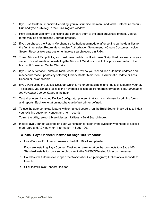- 18. If you use Custom Financials Reporting, you must unhide the menu and tasks. Select File menu > Run and type \*unhidegl in the Run Program window.
- 19. Print all customized form definitions and compare them to the ones previously printed. Default forms may be erased in the upgrade process.
- 20. If you purchased the Return Merchandise Authorization module, after setting up the data files for the first time, select Return Merchandise Authorization Setup menu > Create Customer Invoice Search Records to create customer invoice search records in RMA.
- 21. To run Microsoft Script links, you must have the Microsoft Windows Script Host processor on your system. For information on installing the Microsoft Windows Script Host processor, refer to the Microsoft Download Center Web site.
- 22. If you use Automatic Update or Task Scheduler, review your scheduled automatic updates and reschedule those updates by selecting Library Master Main menu > Automatic Update or Task Scheduler, as applicable.
- 23. If you were using the classic Desktop, which is no longer available, and had task folders in your My Tasks area, you can add tasks to the Favorites list instead. For more information, see Add Items to the Favorites Content Group in the help.
- 24. Test all printers, including Device Configurator printers, that you normally use for printing forms and reports. Each workstation must have a default printer defined.
- 25. To use the auto-complete feature with enhanced search, run the Build Search Index utility to index your existing customer, vendor, and item records.

To run the utility, select Library Master > Utilities > Build Search Index.

26. Install Paya Connect Desktop on each workstation for each Windows user who needs to access credit card and ACH payment information in Sage 100.

## To install Paya Connect Desktop for Sage 100 Standard:

a. Use Windows Explorer to browse to the MAS90\Wksetup folder.

If you are installing Paya Connect Desktop on a workstation that connects to a Sage 100 Standard installation on a server, browser to the MAS90\Wksetup folder on the server.

- b. Double-click Autorun.exe to open the Workstation Setup program; it takes a few seconds to launch.
- c. Click Install Paya Connect Desktop.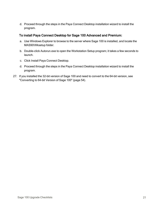d. Proceed through the steps in the Paya Connect Desktop installation wizard to install the program.

### To install Paya Connect Desktop for Sage 100 Advanced and Premium:

- a. Use Windows Explorer to browse to the server where Sage 100 is installed, and locate the MAS90\Wksetup folder.
- b. Double-click Autorun.exe to open the Workstation Setup program; it takes a few seconds to launch.
- c. Click Install Paya Connect Desktop.
- d. Proceed through the steps in the Paya Connect Desktop installation wizard to install the program.
- 27. If you installed the 32-bit version of Sage 100 and need to convert to the 64-bit version, see ["Converting](#page-55-0) to 64-bit Version of Sage 100" (page 54).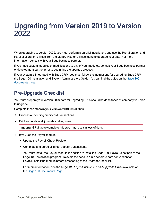# <span id="page-23-0"></span>Upgrading from Version 2019 to Version 2022

When upgrading to version 2022, you must perform a parallel installation, and use the Pre-Migration and Parallel Migration utilities from the Library Master Utilities menu to upgrade your data. For more information, consult with your Sage business partner.

If you have custom modules or modifications to any of your modules, consult your Sage business partner or development partner prior to beginning the upgrade process.

If your system is integrated with Sage CRM, you must follow the instructions for upgrading Sage CRM in the Sage 100 Installation and System Administrators Guide. You can find the guide on the [Sage](http://cdn.na.sage.com/docs/en/customer/100erp/Documentation.htm) 100 [documents](http://cdn.na.sage.com/docs/en/customer/100erp/Documentation.htm) page.

# <span id="page-23-1"></span>Pre-Upgrade Checklist

You must prepare your version 2019 data for upgrading. This should be done for each company you plan to upgrade.

Complete these steps in your version 2019 installation.

- 1. Process all pending credit card transactions.
- 2. Print and update all journals and registers.

Important! Failure to complete this step may result in loss of data.

- 3. If you use the Payroll module:
	- Update the Payroll Check Register.
	- Complete and purge all direct deposit transactions.

You must install the Payroll module in addition to installing Sage 100. Payroll is not part of the Sage 100 installation program. To avoid the need to run a separate data conversion for Payroll, install the module before proceeding to the Upgrade Checklist.

For more information, see the *Sage 100 Payroll Installation and Upgrade Guide* available on the Sage 100 [Documents](http://cdn.na.sage.com/docs/en/customer/100erp/Documentation.htm) Page.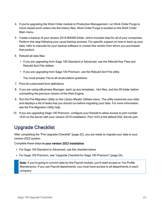- 4. If you're upgrading the Work Order module to Production Management, run Work Order Purge to move closed work orders into the history files. Work Order Purge is located on the Work Order Main menu.
- 5. Create a backup of your version 2019 MAS90 folder, which includes data for all of your companies. Perform this step following your usual backup process. For specific support on how to back up your data, refer to manuals for your backup software or contact the vendor from whom you purchased that product.
- 6. Rebuild all data files.
	- If you are upgrading from Sage 100 Standard or Advanced, use the Rebuild Key Files and Rebuild Sort File utilities.
	- If you are upgrading from Sage 100 Premium, use the Rebuild Sort File utility.

You must answer Yes to all recalculation questions.

- 7. Print all customized form definitions.
- 8. If you are using eBusiness Manager, back up any templates, .htm files, and the IW folder before uninstalling the previous version of the Web Engine.
- 9. Run the Pre-Migration Utility on the Library Master Utilities menu. The utility examines your data and displays a list of tasks that you should run before migrating your data. For more information, see the Pre-Migration Utility help.
- 10. If you are upgrading Sage 100 Premium, configure your firewall to allow access to port number 1433 on the server with your version 2019 installation. Port 1433 is the default SQL Server port.

## Upgrade Checklist

After completing the ["Pre-Upgrade](#page-23-1) Checklist" (page 22), you are ready to migrate your data to your version 2022 system.

Complete these steps in your version 2022 installation.

- For Sage 100 Standard or Advanced, use the checklist below.
- For Sage 100 Premium, see "Upgrade Checklist for Sage 100 [Premium"](#page-25-0) (page 24).

Note: If you're going to convert data for the Payroll module, you'll need access to Tax Profile Maintenance. If you use Payroll departments, you must have access to all departments in each company.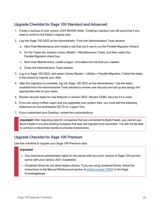## Upgrade Checklist for Sage 100 Standard and Advanced

- 1. Create a backup of your version 2022 MAS90 folder. Creating a backup now will save time if you need to revert to the folder's original sate.
- 2. Log into Sage 100 2022 as the Administrator. From the Administrative Tools window:
	- a. Start Role Maintenance and create a role that you'll use to run the Parallel Migration Wizard.
	- b. On the Tasks tab, expand Library Master > Miscellaneous Tasks, and then select the Parallel Migration check box.
	- c. Start User Maintenance, create a logon, and select the role that you created.
	- d. Close the Administrative Tools window.
- 3. Log in to Sage 100 2022, and select Library Master > Utilities > Parallel Migration. Follow the steps in the wizard to migrate your data.
- 4. After the migration is complete, log into Sage 100 2022 as the Administrator. Use the tasks available from the Administrative Tools window to review user security and set up and assign the appropriate roles to your users.
- 5. Review security tasks for new features in version 2022. Review ODBC security if it is used.
- 6. If you are using Unified Logon and you upgraded your system files, you must add the following statement on one workstation SOTA.ini: Logon=Yes.
- 7. If you customized your Desktop, review the customizations.

Important! After migrating data for companies that are connected to Bank Feeds, you cannot use Bank Feeds in any pre-existing company that was not migrated and converted. You will not be able to connect or disconnect banks or process transactions.

## <span id="page-25-0"></span>Upgrade Checklist for Sage 100 Premium

Use this checklist to migrate your Sage 100 Premium data.

#### Important!

- You must have administrator rights for the server with your prior version of Sage 100 and the server with your version 2021 installation.
- Clustered drives do not allow hidden shares. If you are using clustered drives, follow the instructions in the Manual Workaround section of article [number](https://support.na.sage.com/selfservice/viewdocument.do?noCount=true&externalId=76993) 76993 in the Sage Knowledgebase.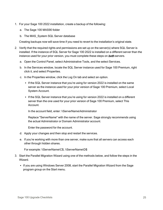- 1. For your Sage 100 2022 installation, create a backup of the following:
	- a. The Sage 100 MAS90 folder
	- b. The MAS System SQL Server database

Creating backups now will save time if you need to revert to the installation's original state.

- 2. Verify that the required rights and permissions are set up on the server(s) where SQL Server is installed. If the instance of SQL Server for Sage 100 2022 is installed on a different server than the instance used for your prior version, you must complete these steps on **both** servers.
	- a. Open the Control Panel, select Administrative Tools, and the select Services.
	- b. In the Services window, locate the SQL Server instance used for Sage 100 Premium, right click it, and select Properties.
	- c. In the Properties window, click the Log On tab and select an option.
		- If the SQL Server instance that you're using for version 2022 is installed on the same server as the instance used for your prior version of Sage 100 Premium, select Local System Account.
		- If the SQL Server instance that you're using for version 2022 is installed on a different server than the one used for your prior version of Sage 100 Premium, select This Account.

In the account field, enter: \\ServerName\Administrator

Replace "ServerName" with the name of the server. Sage strongly recommends using the actual Administrator or Domain Administrator account.

Enter the password for the account.

- d. Apply your changes and then stop and restart the services.
- e. If you're working with more than one server, make sure that all servers can access each other through hidden shares.

For example: \\ServerName\C\$, \\ServerName\D\$

- 3. Start the Parallel Migration Wizard using one of the methods below, and follow the steps in the Wizard.
	- If you are using Windows Server 2008, start the Parallel Migration Wizard from the Sage program group on the Start menu.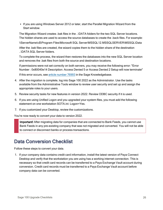• If you are using Windows Server 2012 or later, start the Parallel Migration Wizard from the Start window.

The Migration Wizard creates .bak files in the ..\DATA folders for the two SQL Server locations. The hidden shares are used to access the source databases to create the .back files. For example:

\\ServerName\c\$\Program Files\Microsoft SQL Server\MSSQL12.MSSQLSERVER\MSSQL\Data

After the .bak files are created, the wizard copies them to the hidden share of the destination ..\DATA SQL Server folders.

To complete the process, the wizard then restores the databases into the new SQL Server location and removes the .bak files from both the source and destination locations.

If permissions were not set correctly on both servers, you may receive the following error: "Error Number : 0x80040e14 Description: Access Denied 5 or Access Denied 2 Setup will now terminate"

If this error occurs, see article [number](https://support.na.sage.com/selfservice/viewdocument.do?noCount=true&externalId=76993) 76993 in the Sage Knowledgebase.

- 4. After the migration is complete, log into Sage 100 2022 as the Administrator. Use the tasks available from the Administrative Tools window to review user security and set up and assign the appropriate roles to your users.
- 5. Review security tasks for new features in version 2022. Review ODBC security if it is used.
- 6. If you are using Unified Logon and you upgraded your system files, you must add the following statement on one workstation SOTA.ini: Logon=Yes.
- 7. If you customized your Desktop, review the customizations.

You're now ready to convert your data to version 2022.

Important! After migrating data for companies that are connected to Bank Feeds, you cannot use Bank Feeds in any pre-existing company that was not migrated and converted. You will not be able to connect or disconnect banks or process transactions.

# Data Conversion Checklist

Follow these steps to convert your data.

1. If your company data contains credit card information, install the latest version of Paya Connect Desktop and verify that the workstation you are using has a working internet connection. This is necessary so that credit card records can be transferred to a Paya Exchange Vault account during conversion. Credit card records must be transferred to a Paya Exchange Vault account before company data can be converted.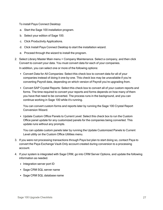To install Paya Connect Desktop:

- a. Start the Sage 100 installation program.
- b. Select your edition of Sage 100.
- c. Click Productivity Applications.
- d. Click Install Paya Connect Desktop to start the installation wizard.
- e. Proceed through the wizard to install the program.
- 2. Select Library Master Main menu > Company Maintenance. Select a company, and then click Convert to convert your data. You must convert data for each of your companies.

In addition, you can select one or more of the following options:

- Convert Data for All Companies: Select this check box to convert data for all of your companies instead of doing it one-by-one. This check box may be unavailable if you're converting Payroll data, depending on which version of Payroll you're upgrading from.
- Convert SAP Crystal Reports: Select this check box to convert all of your custom reports and forms. The time required to convert your reports and forms depends on how many of them you have that need to be converted. The process runs in the background, and you can continue working in Sage 100 while it's running.

You can convert custom forms and reports later by running the Sage 100 Crystal Report Conversion Wizard.

• Update Custom Office Panels to Current Level: Select this check box to run the Custom Office panel update for any customized panels for the companies being converted. This update runs without any prompts.

You can update custom panels later by running the Update Customized Panels to Current Level utility on the Custom Office Utilities menu.

- 3. If you were not processing transactions through Paya but plan to start doing so, contact Paya to convert the Paya Exchange Vault-Only account created during conversion to a processing account.
- 4. If your system is integrated with Sage CRM, go into CRM Server Options, and update the following information as needed.
	- Integration server port ID
	- Sage CRM SQL server name
	- Sage CRM SQL database name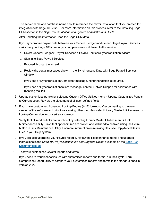The server name and database name should reference the mirror installation that you created for integration with Sage 100 2022. For more information on this process, refer to the Installing Sage CRM section in the Sage 100 Installation and System Administrator's Guide.

After updating the information, load the Sage CRM data.

- 5. If you synchronize payroll data between your General Ledger module and Sage Payroll Services, verify that your Sage 100 company or companies are still linked to the service.
	- a. Select General Ledger > Payroll Services > Payroll Services Synchronization Wizard.
	- b. Sign in to Sage Payroll Services.
	- c. Proceed through the wizard.
	- d. Review the status messages shown in the Synchronizing Data with Sage Payroll Services window.

If you see a "Synchronization Complete" message, no further action is required.

If you see a "Synchronization failed" message, contact iSolved Support for assistance with resetting the link.

- 6. Update customized panels by selecting Custom Office Utilities menu > Update Customized Panels to Current Level. Review the placement of all user-defined fields.
- 7. If you have customized Advanced Lookup Engine (ALE) lookups, after converting to the new version of the software and prior to accessing other modules, select Library Master Utilities menu > Lookup Conversion to convert your lookups.
- 8. Verify that all module links are functional by selecting Library Master Utilities menu > Link Maintenance Utility. Links that appear in red are broken and will need to be fixed using the Relink button in Link Maintenance Utility. For more information on relinking files, see Copy/Move/Relink Files in your Help system.
- 9. If you are also upgrading your Payroll Module, review the list of enhancements and upgrade instructions in the [Sage](http://cdn.na.sage.com/docs/en/customer/100erp/Documentation.htm) 100 Payroll Installation and Upgrade Guide, available on the Sage 100 [Documents](http://cdn.na.sage.com/docs/en/customer/100erp/Documentation.htm) page.
- 10. Test your customized Crystal reports and forms.

If you need to troubleshoot issues with customized reports and forms, run the Crystal Form Comparison Report utility to compare your customized reports and forms to the standard ones in version 2022.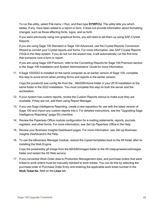To run the utility, select File menu > Run, and then type SYWFCU. The utility tells you which tables, if any, have been added to a report or form. It does not provide information about formatting changes, such as those affecting fonts, logos, and so forth.

If you were previously using non-graphical forms, you will need to set them up using SAP Crystal Reports.

If you are using Sage 100 Standard or Sage 100 Advanced, use the Crystal Reports Conversion Wizard to convert your Crystal reports and forms. For more information, see SAP Crystal Reports FAQs in the Help system. If you do not run the wizard now, it will automatically run the first time that someone runs a form or report.

If you are using Sage 100 Premium, refer to the Converting Reports for Sage 100 Premium section in the Sage 100 Installation and System Administrators' Guide for more information.

11. If Sage 1002022 is installed on the same computer as an earlier version of Sage 100, complete this step to avoid errors when printing forms and reports in the earlier version:

Copy the pvxwin32.exe.config file from the ..\MAS90\Home folder in your 2019 installation to the same folder in the 2022 installation. You must complete this step on both the server and the workstation.

- 12. If your system has custom reports, review the Custom Reports menus to make sure they are available. If they are not, add them using Report Manager.
- 13. If you use Sage Intelligence Reporting, create a new repository for use with the latest version of Sage 100 and import any custom reports into it. For detailed instructions, see the ["Upgrading](#page-56-0) Sage [Intelligence](#page-56-0) Reporting" (page 55) checklist.
- 14. Review the Paperless Office module configuration for e-mailing statements, reports, journals, registers, and other forms. For more information, see Set Up Paperless Office in the Help.
- 15. Review your Business Insights Dashboard pages. For more information, see Set Up Business Insights Dashboard in the Help.
- 16. To use the eBusiness Manager module, restore the copied templates back to the IW folder after reinstalling the Web Engine.

Copy the poweredby.gif image from the MAS90\Images folder to the IIS Inetpup\wwwroot\images folder and restart the IIS Web service.

17. If you converted Work Order data to Production Management data, and purchase orders that were linked to work orders must be manually relinked to work tickets. You can do this by selecting the purchase order in Purchase Order Entry and entering the applicable work ticket number in the Work Ticket No. field on the Lines tab.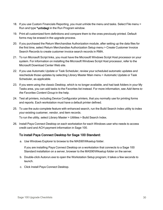- 18. If you use Custom Financials Reporting, you must unhide the menu and tasks. Select File menu > Run and type \*unhidegl in the Run Program window.
- 19. Print all customized form definitions and compare them to the ones previously printed. Default forms may be erased in the upgrade process.
- 20. If you purchased the Return Merchandise Authorization module, after setting up the data files for the first time, select Return Merchandise Authorization Setup menu > Create Customer Invoice Search Records to create customer invoice search records in RMA.
- 21. To run Microsoft Script links, you must have the Microsoft Windows Script Host processor on your system. For information on installing the Microsoft Windows Script Host processor, refer to the Microsoft Download Center Web site.
- 22. If you use Automatic Update or Task Scheduler, review your scheduled automatic updates and reschedule those updates by selecting Library Master Main menu > Automatic Update or Task Scheduler, as applicable.
- 23. If you were using the classic Desktop, which is no longer available, and had task folders in your My Tasks area, you can add tasks to the Favorites list instead. For more information, see Add Items to the Favorites Content Group in the help.
- 24. Test all printers, including Device Configurator printers, that you normally use for printing forms and reports. Each workstation must have a default printer defined.
- 25. To use the auto-complete feature with enhanced search, run the Build Search Index utility to index your existing customer, vendor, and item records.

To run the utility, select Library Master > Utilities > Build Search Index.

26. Install Paya Connect Desktop on each workstation for each Windows user who needs to access credit card and ACH payment information in Sage 100.

## To install Paya Connect Desktop for Sage 100 Standard:

a. Use Windows Explorer to browse to the MAS90\Wksetup folder.

If you are installing Paya Connect Desktop on a workstation that connects to a Sage 100 Standard installation on a server, browser to the MAS90\Wksetup folder on the server.

- b. Double-click Autorun.exe to open the Workstation Setup program; it takes a few seconds to launch.
- c. Click Install Paya Connect Desktop.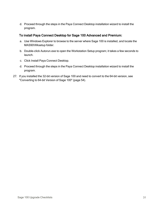d. Proceed through the steps in the Paya Connect Desktop installation wizard to install the program.

### To install Paya Connect Desktop for Sage 100 Advanced and Premium:

- a. Use Windows Explorer to browse to the server where Sage 100 is installed, and locate the MAS90\Wksetup folder.
- b. Double-click Autorun.exe to open the Workstation Setup program; it takes a few seconds to launch.
- c. Click Install Paya Connect Desktop.
- d. Proceed through the steps in the Paya Connect Desktop installation wizard to install the program.
- 27. If you installed the 32-bit version of Sage 100 and need to convert to the 64-bit version, see ["Converting](#page-55-0) to 64-bit Version of Sage 100" (page 54).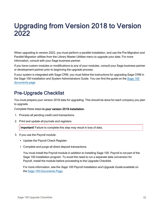# <span id="page-33-0"></span>Upgrading from Version 2018 to Version 2022

When upgrading to version 2022, you must perform a parallel installation, and use the Pre-Migration and Parallel Migration utilities from the Library Master Utilities menu to upgrade your data. For more information, consult with your Sage business partner.

If you have custom modules or modifications to any of your modules, consult your Sage business partner or development partner prior to beginning the upgrade process.

If your system is integrated with Sage CRM, you must follow the instructions for upgrading Sage CRM in the Sage 100 Installation and System Administrators Guide. You can find the guide on the [Sage](http://cdn.na.sage.com/docs/en/customer/100erp/Documentation.htm) 100 [documents](http://cdn.na.sage.com/docs/en/customer/100erp/Documentation.htm) page.

# Pre-Upgrade Checklist

You must prepare your version 2018 data for upgrading. This should be done for each company you plan to upgrade.

Complete these steps in your version 2018 installation.

- 1. Process all pending credit card transactions.
- 2. Print and update all journals and registers.

Important! Failure to complete this step may result in loss of data.

- 3. If you use the Payroll module:
	- Update the Payroll Check Register.
	- Complete and purge all direct deposit transactions.

You must install the Payroll module in addition to installing Sage 100. Payroll is not part of the Sage 100 installation program. To avoid the need to run a separate data conversion for Payroll, install the module before proceeding to the Upgrade Checklist.

For more information, see the *Sage 100 Payroll Installation and Upgrade Guide* available on the Sage 100 [Documents](http://cdn.na.sage.com/docs/en/customer/100erp/Documentation.htm) Page.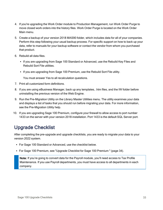- 4. If you're upgrading the Work Order module to Production Management, run Work Order Purge to move closed work orders into the history files. Work Order Purge is located on the Work Order Main menu.
- 5. Create a backup of your version 2018 MAS90 folder, which includes data for all of your companies. Perform this step following your usual backup process. For specific support on how to back up your data, refer to manuals for your backup software or contact the vendor from whom you purchased that product.
- 6. Rebuild all data files.
	- If you are upgrading from Sage 100 Standard or Advanced, use the Rebuild Key Files and Rebuild Sort File utilities.
	- If you are upgrading from Sage 100 Premium, use the Rebuild Sort File utility.

You must answer Yes to all recalculation questions.

- 7. Print all customized form definitions.
- 8. If you are using eBusiness Manager, back up any templates, .htm files, and the IW folder before uninstalling the previous version of the Web Engine.
- 9. Run the Pre-Migration Utility on the Library Master Utilities menu. The utility examines your data and displays a list of tasks that you should run before migrating your data. For more information, see the Pre-Migration Utility help.
- 10. If you are upgrading Sage 100 Premium, configure your firewall to allow access to port number 1433 on the server with your version 2018 installation. Port 1433 is the default SQL Server port.

## Upgrade Checklist

After completing the pre-upgrade and upgrade checklists, you are ready to migrate your data to your version 2022 system.

- For Sage 100 Standard or Advanced, use the checklist below.
- For Sage 100 Premium, see ["Upgrade](#page-35-0) Checklist for Sage 100 Premium " (page 34).

Note: If you're going to convert data for the Payroll module, you'll need access to Tax Profile Maintenance. If you use Payroll departments, you must have access to all departments in each company.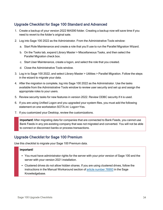## Upgrade Checklist for Sage 100 Standard and Advanced

- 1. Create a backup of your version 2022 MAS90 folder. Creating a backup now will save time if you need to revert to the folder's original sate.
- 2. Log into Sage 100 2022 as the Administrator. From the Administrative Tools window:
	- a. Start Role Maintenance and create a role that you'll use to run the Parallel Migration Wizard.
	- b. On the Tasks tab, expand Library Master > Miscellaneous Tasks, and then select the Parallel Migration check box.
	- c. Start User Maintenance, create a logon, and select the role that you created.
	- d. Close the Administrative Tools window.
- 3. Log in to Sage 100 2022, and select Library Master > Utilities > Parallel Migration. Follow the steps in the wizard to migrate your data.
- 4. After the migration is complete, log into Sage 100 2022 as the Administrator. Use the tasks available from the Administrative Tools window to review user security and set up and assign the appropriate roles to your users.
- 5. Review security tasks for new features in version 2022. Review ODBC security if it is used.
- 6. If you are using Unified Logon and you upgraded your system files, you must add the following statement on one workstation SOTA.ini: Logon=Yes.
- 7. If you customized your Desktop, review the customizations.

Important! After migrating data for companies that are connected to Bank Feeds, you cannot use Bank Feeds in any pre-existing company that was not migrated and converted. You will not be able to connect or disconnect banks or process transactions.

## <span id="page-35-0"></span>Upgrade Checklist for Sage 100 Premium

Use this checklist to migrate your Sage 100 Premium data.

#### Important!

- You must have administrator rights for the server with your prior version of Sage 100 and the server with your version 2021 installation.
- Clustered drives do not allow hidden shares. If you are using clustered drives, follow the instructions in the Manual Workaround section of article [number](https://support.na.sage.com/selfservice/viewdocument.do?noCount=true&externalId=76993) 76993 in the Sage Knowledgebase.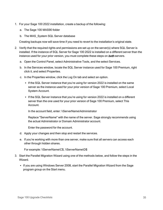- 1. For your Sage 100 2022 installation, create a backup of the following:
	- a. The Sage 100 MAS90 folder
	- b. The MAS System SQL Server database

Creating backups now will save time if you need to revert to the installation's original state.

- 2. Verify that the required rights and permissions are set up on the server(s) where SQL Server is installed. If the instance of SQL Server for Sage 100 2022 is installed on a different server than the instance used for your prior version, you must complete these steps on **both** servers.
	- a. Open the Control Panel, select Administrative Tools, and the select Services.
	- b. In the Services window, locate the SQL Server instance used for Sage 100 Premium, right click it, and select Properties.
	- c. In the Properties window, click the Log On tab and select an option.
		- If the SQL Server instance that you're using for version 2022 is installed on the same server as the instance used for your prior version of Sage 100 Premium, select Local System Account.
		- If the SQL Server instance that you're using for version 2022 is installed on a different server than the one used for your prior version of Sage 100 Premium, select This Account.

In the account field, enter: \\ServerName\Administrator

Replace "ServerName" with the name of the server. Sage strongly recommends using the actual Administrator or Domain Administrator account.

Enter the password for the account.

- d. Apply your changes and then stop and restart the services.
- e. If you're working with more than one server, make sure that all servers can access each other through hidden shares.

For example: \\ServerName\C\$, \\ServerName\D\$

- 3. Start the Parallel Migration Wizard using one of the methods below, and follow the steps in the Wizard.
	- If you are using Windows Server 2008, start the Parallel Migration Wizard from the Sage program group on the Start menu.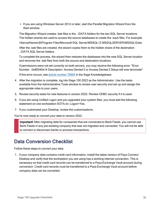• If you are using Windows Server 2012 or later, start the Parallel Migration Wizard from the Start window.

The Migration Wizard creates .bak files in the ..\DATA folders for the two SQL Server locations. The hidden shares are used to access the source databases to create the .back files. For example:

\\ServerName\c\$\Program Files\Microsoft SQL Server\MSSQL12.MSSQLSERVER\MSSQL\Data

After the .bak files are created, the wizard copies them to the hidden share of the destination ..\DATA SQL Server folders.

To complete the process, the wizard then restores the databases into the new SQL Server location and removes the .bak files from both the source and destination locations.

If permissions were not set correctly on both servers, you may receive the following error: "Error Number : 0x80040e14 Description: Access Denied 5 or Access Denied 2 Setup will now terminate"

If this error occurs, see article [number](https://support.na.sage.com/selfservice/viewdocument.do?noCount=true&externalId=76993) 76993 in the Sage Knowledgebase.

- 4. After the migration is complete, log into Sage 100 2022 as the Administrator. Use the tasks available from the Administrative Tools window to review user security and set up and assign the appropriate roles to your users.
- 5. Review security tasks for new features in version 2022. Review ODBC security if it is used.
- 6. If you are using Unified Logon and you upgraded your system files, you must add the following statement on one workstation SOTA.ini: Logon=Yes.
- 7. If you customized your Desktop, review the customizations.

You're now ready to convert your data to version 2022.

Important! After migrating data for companies that are connected to Bank Feeds, you cannot use Bank Feeds in any pre-existing company that was not migrated and converted. You will not be able to connect or disconnect banks or process transactions.

# Data Conversion Checklist

Follow these steps to convert your data.

1. If your company data contains credit card information, install the latest version of Paya Connect Desktop and verify that the workstation you are using has a working internet connection. This is necessary so that credit card records can be transferred to a Paya Exchange Vault account during conversion. Credit card records must be transferred to a Paya Exchange Vault account before company data can be converted.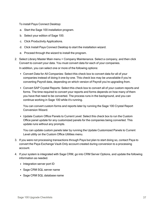To install Paya Connect Desktop:

- a. Start the Sage 100 installation program.
- b. Select your edition of Sage 100.
- c. Click Productivity Applications.
- d. Click Install Paya Connect Desktop to start the installation wizard.
- e. Proceed through the wizard to install the program.
- 2. Select Library Master Main menu > Company Maintenance. Select a company, and then click Convert to convert your data. You must convert data for each of your companies.

In addition, you can select one or more of the following options:

- Convert Data for All Companies: Select this check box to convert data for all of your companies instead of doing it one-by-one. This check box may be unavailable if you're converting Payroll data, depending on which version of Payroll you're upgrading from.
- Convert SAP Crystal Reports: Select this check box to convert all of your custom reports and forms. The time required to convert your reports and forms depends on how many of them you have that need to be converted. The process runs in the background, and you can continue working in Sage 100 while it's running.

You can convert custom forms and reports later by running the Sage 100 Crystal Report Conversion Wizard.

• Update Custom Office Panels to Current Level: Select this check box to run the Custom Office panel update for any customized panels for the companies being converted. This update runs without any prompts.

You can update custom panels later by running the Update Customized Panels to Current Level utility on the Custom Office Utilities menu.

- 3. If you were not processing transactions through Paya but plan to start doing so, contact Paya to convert the Paya Exchange Vault-Only account created during conversion to a processing account.
- 4. If your system is integrated with Sage CRM, go into CRM Server Options, and update the following information as needed.
	- Integration server port ID
	- Sage CRM SQL server name
	- Sage CRM SQL database name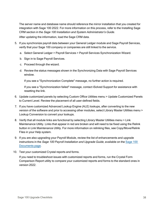The server name and database name should reference the mirror installation that you created for integration with Sage 100 2022. For more information on this process, refer to the Installing Sage CRM section in the Sage 100 Installation and System Administrator's Guide.

After updating the information, load the Sage CRM data.

- 5. If you synchronize payroll data between your General Ledger module and Sage Payroll Services, verify that your Sage 100 company or companies are still linked to the service.
	- a. Select General Ledger > Payroll Services > Payroll Services Synchronization Wizard.
	- b. Sign in to Sage Payroll Services.
	- c. Proceed through the wizard.
	- d. Review the status messages shown in the Synchronizing Data with Sage Payroll Services window.

If you see a "Synchronization Complete" message, no further action is required.

If you see a "Synchronization failed" message, contact iSolved Support for assistance with resetting the link.

- 6. Update customized panels by selecting Custom Office Utilities menu > Update Customized Panels to Current Level. Review the placement of all user-defined fields.
- 7. If you have customized Advanced Lookup Engine (ALE) lookups, after converting to the new version of the software and prior to accessing other modules, select Library Master Utilities menu > Lookup Conversion to convert your lookups.
- 8. Verify that all module links are functional by selecting Library Master Utilities menu > Link Maintenance Utility. Links that appear in red are broken and will need to be fixed using the Relink button in Link Maintenance Utility. For more information on relinking files, see Copy/Move/Relink Files in your Help system.
- 9. If you are also upgrading your Payroll Module, review the list of enhancements and upgrade instructions in the [Sage](http://cdn.na.sage.com/docs/en/customer/100erp/Documentation.htm) 100 Payroll Installation and Upgrade Guide, available on the Sage 100 [Documents](http://cdn.na.sage.com/docs/en/customer/100erp/Documentation.htm) page.
- 10. Test your customized Crystal reports and forms.

If you need to troubleshoot issues with customized reports and forms, run the Crystal Form Comparison Report utility to compare your customized reports and forms to the standard ones in version 2022.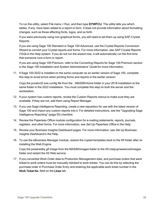To run the utility, select File menu > Run, and then type SYWFCU. The utility tells you which tables, if any, have been added to a report or form. It does not provide information about formatting changes, such as those affecting fonts, logos, and so forth.

If you were previously using non-graphical forms, you will need to set them up using SAP Crystal Reports.

If you are using Sage 100 Standard or Sage 100 Advanced, use the Crystal Reports Conversion Wizard to convert your Crystal reports and forms. For more information, see SAP Crystal Reports FAQs in the Help system. If you do not run the wizard now, it will automatically run the first time that someone runs a form or report.

If you are using Sage 100 Premium, refer to the Converting Reports for Sage 100 Premium section in the Sage 100 Installation and System Administrators' Guide for more information.

11. If Sage 100 2022 is installed on the same computer as an earlier version of Sage 100, complete this step to avoid errors when printing forms and reports in the earlier version:

Copy the pvxwin32.exe.config file from the ..\MAS90\Home folder in your 2018 installation to the same folder in the 2022 installation. You must complete this step on both the server and the workstation.

- 12. If your system has custom reports, review the Custom Reports menus to make sure they are available. If they are not, add them using Report Manager.
- 13. If you use Sage Intelligence Reporting, create a new repository for use with the latest version of Sage 100 and import any custom reports into it. For detailed instructions, see the ["Upgrading](#page-56-0) Sage [Intelligence](#page-56-0) Reporting" (page 55) checklist.
- 14. Review the Paperless Office module configuration for e-mailing statements, reports, journals, registers, and other forms. For more information, see Set Up Paperless Office in the Help.
- 15. Review your Business Insights Dashboard pages. For more information, see Set Up Business Insights Dashboard in the Help.
- 16. To use the eBusiness Manager module, restore the copied templates back to the IW folder after reinstalling the Web Engine.

Copy the poweredby.gif image from the MAS90\Images folder to the IIS Inetpup\wwwroot\images folder and restart the IIS Web service.

17. If you converted Work Order data to Production Management data, and purchase orders that were linked to work orders must be manually relinked to work tickets. You can do this by selecting the purchase order in Purchase Order Entry and entering the applicable work ticket number in the Work Ticket No. field on the Lines tab.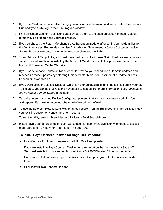- 18. If you use Custom Financials Reporting, you must unhide the menu and tasks. Select File menu > Run and type \*unhidegl in the Run Program window.
- 19. Print all customized form definitions and compare them to the ones previously printed. Default forms may be erased in the upgrade process.
- 20. If you purchased the Return Merchandise Authorization module, after setting up the data files for the first time, select Return Merchandise Authorization Setup menu > Create Customer Invoice Search Records to create customer invoice search records in RMA.
- 21. To run Microsoft Script links, you must have the Microsoft Windows Script Host processor on your system. For information on installing the Microsoft Windows Script Host processor, refer to the Microsoft Download Center Web site.
- 22. If you use Automatic Update or Task Scheduler, review your scheduled automatic updates and reschedule those updates by selecting Library Master Main menu > Automatic Update or Task Scheduler, as applicable.
- 23. If you were using the classic Desktop, which is no longer available, and had task folders in your My Tasks area, you can add tasks to the Favorites list instead. For more information, see Add Items to the Favorites Content Group in the help.
- 24. Test all printers, including Device Configurator printers, that you normally use for printing forms and reports. Each workstation must have a default printer defined.
- 25. To use the auto-complete feature with enhanced search, run the Build Search Index utility to index your existing customer, vendor, and item records.

To run the utility, select Library Master > Utilities > Build Search Index.

26. Install Paya Connect Desktop on each workstation for each Windows user who needs to access credit card and ACH payment information in Sage 100.

## To install Paya Connect Desktop for Sage 100 Standard:

a. Use Windows Explorer to browse to the MAS90\Wksetup folder.

If you are installing Paya Connect Desktop on a workstation that connects to a Sage 100 Standard installation on a server, browser to the MAS90\Wksetup folder on the server.

- b. Double-click Autorun.exe to open the Workstation Setup program; it takes a few seconds to launch.
- c. Click Install Paya Connect Desktop.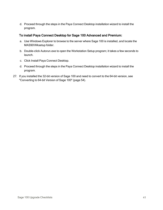d. Proceed through the steps in the Paya Connect Desktop installation wizard to install the program.

### To install Paya Connect Desktop for Sage 100 Advanced and Premium:

- a. Use Windows Explorer to browse to the server where Sage 100 is installed, and locate the MAS90\Wksetup folder.
- b. Double-click Autorun.exe to open the Workstation Setup program; it takes a few seconds to launch.
- c. Click Install Paya Connect Desktop.
- d. Proceed through the steps in the Paya Connect Desktop installation wizard to install the program.
- 27. If you installed the 32-bit version of Sage 100 and need to convert to the 64-bit version, see ["Converting](#page-55-0) to 64-bit Version of Sage 100" (page 54).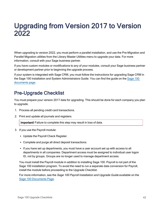# <span id="page-43-0"></span>Upgrading from Version 2017 to Version 2022

When upgrading to version 2022, you must perform a parallel installation, and use the Pre-Migration and Parallel Migration utilities from the Library Master Utilities menu to upgrade your data. For more information, consult with your Sage business partner.

If you have custom modules or modifications to any of your modules, consult your Sage business partner or development partner prior to beginning the upgrade process.

If your system is integrated with Sage CRM, you must follow the instructions for upgrading Sage CRM in the Sage 100 Installation and System Administrators Guide. You can find the guide on the [Sage](http://cdn.na.sage.com/docs/en/customer/100erp/Documentation.htm) 100 [documents](http://cdn.na.sage.com/docs/en/customer/100erp/Documentation.htm) page.

# Pre-Upgrade Checklist

You must prepare your version 2017 data for upgrading. This should be done for each company you plan to upgrade.

- 1. Process all pending credit card transactions.
- 2. Print and update all journals and registers.

Important! Failure to complete this step may result in loss of data.

- 3. If you use the Payroll module:
	- Update the Payroll Check Register.
	- Complete and purge all direct deposit transactions.
	- If you have set up departments, you must have a user account set up with access to all departments in all companies. Department access must be assigned to individual user logon ID, not by groups. Groups are no longer used to manage department access.

You must install the Payroll module in addition to installing Sage 100. Payroll is not part of the Sage 100 installation program. To avoid the need to run a separate data conversion for Payroll, install the module before proceeding to the Upgrade Checklist.

For more information, see the *Sage 100 Payroll Installation and Upgrade Guide* available on the Sage 100 [Documents](http://cdn.na.sage.com/docs/en/customer/100erp/Documentation.htm) Page.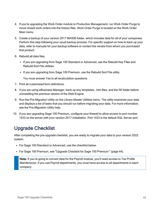- 4. If you're upgrading the Work Order module to Production Management, run Work Order Purge to move closed work orders into the history files. Work Order Purge is located on the Work Order Main menu.
- 5. Create a backup of your version 2017 MAS90 folder, which includes data for all of your companies. Perform this step following your usual backup process. For specific support on how to back up your data, refer to manuals for your backup software or contact the vendor from whom you purchased that product.
- 6. Rebuild all data files.
	- If you are upgrading from Sage 100 Standard or Advanced, use the Rebuild Key Files and Rebuild Sort File utilities.
	- If you are upgrading from Sage 100 Premium, use the Rebuild Sort File utility.

You must answer Yes to all recalculation questions.

- 7. Print all customized form definitions.
- 8. If you are using eBusiness Manager, back up any templates, .htm files, and the IW folder before uninstalling the previous version of the Web Engine.
- 9. Run the Pre-Migration Utility on the Library Master Utilities menu. The utility examines your data and displays a list of tasks that you should run before migrating your data. For more information, see the Pre-Migration Utility help.
- 10. If you are upgrading Sage 100 Premium, configure your firewall to allow access to port number 1433 on the server with your version 2017 installation. Port 1433 is the default SQL Server port.

## Upgrade Checklist

After completing the pre-upgrade checklist, you are ready to migrate your data to your version 2022 system.

- For Sage 100 Standard or Advanced, use the checklist below.
- For Sage 100 Premium, see ["Upgrade](#page-45-0) Checklist for Sage 100 Premium " (page 44).

Note: If you're going to convert data for the Payroll module, you'll need access to Tax Profile Maintenance. If you use Payroll departments, you must have access to all departments in each company.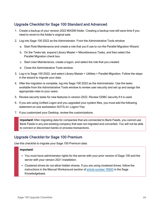## Upgrade Checklist for Sage 100 Standard and Advanced

- 1. Create a backup of your version 2022 MAS90 folder. Creating a backup now will save time if you need to revert to the folder's original sate.
- 2. Log into Sage 100 2022 as the Administrator. From the Administrative Tools window:
	- a. Start Role Maintenance and create a role that you'll use to run the Parallel Migration Wizard.
	- b. On the Tasks tab, expand Library Master > Miscellaneous Tasks, and then select the Parallel Migration check box.
	- c. Start User Maintenance, create a logon, and select the role that you created.
	- d. Close the Administrative Tools window.
- 3. Log in to Sage 100 2022, and select Library Master > Utilities > Parallel Migration. Follow the steps in the wizard to migrate your data.
- 4. After the migration is complete, log into Sage 100 2022 as the Administrator. Use the tasks available from the Administrative Tools window to review user security and set up and assign the appropriate roles to your users.
- 5. Review security tasks for new features in version 2022. Review ODBC security if it is used.
- 6. If you are using Unified Logon and you upgraded your system files, you must add the following statement on one workstation SOTA.ini: Logon=Yes.
- 7. If you customized your Desktop, review the customizations.

Important! After migrating data for companies that are connected to Bank Feeds, you cannot use Bank Feeds in any pre-existing company that was not migrated and converted. You will not be able to connect or disconnect banks or process transactions.

## <span id="page-45-0"></span>Upgrade Checklist for Sage 100 Premium

Use this checklist to migrate your Sage 100 Premium data.

#### Important!

- You must have administrator rights for the server with your prior version of Sage 100 and the server with your version 2021 installation.
- Clustered drives do not allow hidden shares. If you are using clustered drives, follow the instructions in the Manual Workaround section of article [number](https://support.na.sage.com/selfservice/viewdocument.do?noCount=true&externalId=76993) 76993 in the Sage Knowledgebase.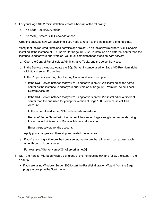- 1. For your Sage 100 2022 installation, create a backup of the following:
	- a. The Sage 100 MAS90 folder
	- b. The MAS System SQL Server database

Creating backups now will save time if you need to revert to the installation's original state.

- 2. Verify that the required rights and permissions are set up on the server(s) where SQL Server is installed. If the instance of SQL Server for Sage 100 2022 is installed on a different server than the instance used for your prior version, you must complete these steps on **both** servers.
	- a. Open the Control Panel, select Administrative Tools, and the select Services.
	- b. In the Services window, locate the SQL Server instance used for Sage 100 Premium, right click it, and select Properties.
	- c. In the Properties window, click the Log On tab and select an option.
		- If the SQL Server instance that you're using for version 2022 is installed on the same server as the instance used for your prior version of Sage 100 Premium, select Local System Account.
		- If the SQL Server instance that you're using for version 2022 is installed on a different server than the one used for your prior version of Sage 100 Premium, select This Account.

In the account field, enter: \\ServerName\Administrator

Replace "ServerName" with the name of the server. Sage strongly recommends using the actual Administrator or Domain Administrator account.

Enter the password for the account.

- d. Apply your changes and then stop and restart the services.
- e. If you're working with more than one server, make sure that all servers can access each other through hidden shares.

For example: \\ServerName\C\$, \\ServerName\D\$

- 3. Start the Parallel Migration Wizard using one of the methods below, and follow the steps in the Wizard.
	- If you are using Windows Server 2008, start the Parallel Migration Wizard from the Sage program group on the Start menu.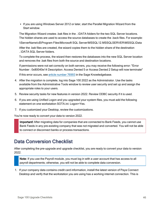• If you are using Windows Server 2012 or later, start the Parallel Migration Wizard from the Start window.

The Migration Wizard creates .bak files in the ..\DATA folders for the two SQL Server locations. The hidden shares are used to access the source databases to create the .back files. For example:

\\ServerName\c\$\Program Files\Microsoft SQL Server\MSSQL12.MSSQLSERVER\MSSQL\Data

After the .bak files are created, the wizard copies them to the hidden share of the destination ..\DATA SQL Server folders.

To complete the process, the wizard then restores the databases into the new SQL Server location and removes the .bak files from both the source and destination locations.

If permissions were not set correctly on both servers, you may receive the following error: "Error Number : 0x80040e14 Description: Access Denied 5 or Access Denied 2 Setup will now terminate"

If this error occurs, see article [number](https://support.na.sage.com/selfservice/viewdocument.do?noCount=true&externalId=76993) 76993 in the Sage Knowledgebase.

- 4. After the migration is complete, log into Sage 100 2022 as the Administrator. Use the tasks available from the Administrative Tools window to review user security and set up and assign the appropriate roles to your users.
- 5. Review security tasks for new features in version 2022. Review ODBC security if it is used.
- 6. If you are using Unified Logon and you upgraded your system files, you must add the following statement on one workstation SOTA.ini: Logon=Yes.
- 7. If you customized your Desktop, review the customizations.

You're now ready to convert your data to version 2022.

Important! After migrating data for companies that are connected to Bank Feeds, you cannot use Bank Feeds in any pre-existing company that was not migrated and converted. You will not be able to connect or disconnect banks or process transactions.

# Data Conversion Checklist

After completing the pre-upgrade and upgrade checklist, you are ready to convert your data to version 2022.

Note: If you use the Payroll module, you must log in with a user account that has access to all payroll departments; otherwise, you will not be able to complete data conversion.

1. If your company data contains credit card information, install the latest version of Paya Connect Desktop and verify that the workstation you are using has a working internet connection. This is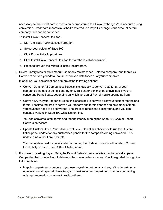necessary so that credit card records can be transferred to a Paya Exchange Vault account during conversion. Credit card records must be transferred to a Paya Exchange Vault account before company data can be converted.

To install Paya Connect Desktop:

- a. Start the Sage 100 installation program.
- b. Select your edition of Sage 100.
- c. Click Productivity Applications.
- d. Click Install Paya Connect Desktop to start the installation wizard.
- e. Proceed through the wizard to install the program.
- 2. Select Library Master Main menu > Company Maintenance. Select a company, and then click Convert to convert your data. You must convert data for each of your companies.

In addition, you can select one or more of the following options:

- Convert Data for All Companies: Select this check box to convert data for all of your companies instead of doing it one-by-one. This check box may be unavailable if you're converting Payroll data, depending on which version of Payroll you're upgrading from.
- Convert SAP Crystal Reports: Select this check box to convert all of your custom reports and forms. The time required to convert your reports and forms depends on how many of them you have that need to be converted. The process runs in the background, and you can continue working in Sage 100 while it's running.

You can convert custom forms and reports later by running the Sage 100 Crystal Report Conversion Wizard.

• Update Custom Office Panels to Current Level: Select this check box to run the Custom Office panel update for any customized panels for the companies being converted. This update runs without any prompts.

You can update custom panels later by running the Update Customized Panels to Current Level utility on the Custom Office Utilities menu.

- 3. If you are converting Payroll Data, the Payroll Data Conversion Wizard automatically opens. Companies that include Payroll data must be converted one by one. You'll be guided through the following tasks:
	- Mapping department numbers. If you use payroll departments and any of the departments numbers contain special characters, you must enter new department numbers containing only alphanumeric characters to replace them.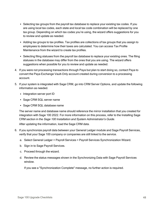- Selecting tax groups from the payroll tax database to replace your existing tax codes. If you are using local tax codes, each state and local tax code combination will be replaced by one tax group. Depending on which tax codes you're using, the wizard offers suggestions for you to review and update as needed.
- Adding tax groups to tax profiles. Tax profiles are collections of tax groups that you assign to employees to determine how their taxes are calculated. You can access Tax Profile Maintenance from the wizard to create tax profiles.
- Selecting filing statuses from the payroll tax database to replace your existing ones. The filing statuses in the database may differ from the ones that you are using. The wizard offers suggestions when possible for you to review and update as needed.
- 4. If you were not processing transactions through Paya but plan to start doing so, contact Paya to convert the Paya Exchange Vault-Only account created during conversion to a processing account.
- 5. If your system is integrated with Sage CRM, go into CRM Server Options, and update the following information as needed.
	- Integration server port ID
	- Sage CRM SQL server name
	- Sage CRM SQL database name

The server name and database name should reference the mirror installation that you created for integration with Sage 100 2022. For more information on this process, refer to the Installing Sage CRM section in the Sage 100 Installation and System Administrator's Guide.

After updating the information, load the Sage CRM data.

- 6. If you synchronize payroll data between your General Ledger module and Sage Payroll Services, verify that your Sage 100 company or companies are still linked to the service.
	- a. Select General Ledger > Payroll Services > Payroll Services Synchronization Wizard.
	- b. Sign in to Sage Payroll Services.
	- c. Proceed through the wizard.
	- d. Review the status messages shown in the Synchronizing Data with Sage Payroll Services window.

If you see a "Synchronization Complete" message, no further action is required.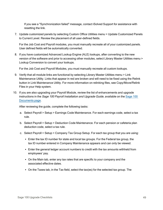If you see a "Synchronization failed" message, contact iSolved Support for assistance with resetting the link.

7. Update customized panels by selecting Custom Office Utilities menu > Update Customized Panels to Current Level. Review the placement of all user-defined fields.

For the Job Cost and Payroll modules, you must manually recreate all of your customized panels. User defined fields will be automatically converted.

8. If you have customized Advanced Lookup Engine (ALE) lookups, after converting to the new version of the software and prior to accessing other modules, select Library Master Utilities menu > Lookup Conversion to convert your lookups.

For the Job Cost and Payroll Modules, you must manually recreate all custom lookups.

- 9. Verify that all module links are functional by selecting Library Master Utilities menu > Link Maintenance Utility. Links that appear in red are broken and will need to be fixed using the Relink button in Link Maintenance Utility. For more information on relinking files, see Copy/Move/Relink Files in your Help system.
- 10. If you are also upgrading your Payroll Module, review the list of enhancements and upgrade instructions in the [Sage](http://cdn.na.sage.com/docs/en/customer/100erp/Documentation.htm) 100 Payroll Installation and Upgrade Guide, available on the Sage 100 [Documents](http://cdn.na.sage.com/docs/en/customer/100erp/Documentation.htm) page.

After reviewing the guide, complete the following tasks:

- a. Select Payroll > Setup > Earnings Code Maintenance. For each earnings code, select a tax rule.
- b. Select Payroll > Setup > Deduction Code Maintenance. For each pension or cafeteria plan deduction code, select a tax rule.
- c. Select Payroll > Setup > Company Tax Group Setup. For each tax group that you are using:
	- Enter the tax ID number for state and local tax groups. For the Federal tax group, the tax ID number entered in Company Maintenance appears and can only be viewed.
	- Enter the general ledger account numbers to credit with the tax amounts withheld from employees' pay.
	- On the Main tab, enter any tax rates that are specific to your company and the associated effective dates.
	- $\bullet$  On the Taxes tab, in the Tax field, select the tax(es) for the selected tax group. The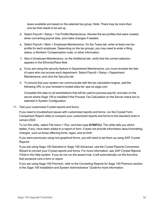taxes available are based on the selected tax group. Note: There may be more than one tax that needs to be set up.

- d. Select Payroll > Setup > Tax Profile Maintenance. Review the tax profiles that were created when converting payroll data, and make changes if needed.
- e. Select Payroll > Main > Employee Maintenance. On the Taxes tab, enter at least one tax profile for each employee. Depending on the tax groups, you may need to enter a filing status, a Workers' Compensation code, or other information.
- f. Also in Employee Maintenance, on the Additional tab, verify that the correct selection appears in the Ethnicity/Race field.
- g. If you are using the security feature in Department Maintenance, you must recreate the lists of users who can access each department. Select Payroll > Setup > Department Maintenance, and click the Security tab.
- h. To ensure that your system can communicate with the tax calculation engine, add the following URL to your browser's trusted sites list: spa.na.sage.com

Complete this step on all workstations that will be used to process payroll, and also on the server where Sage 100 is installed if the Process Tax Calculation on the Server check box is selected in System Configuration.

11. Test your customized Crystal reports and forms.

If you need to troubleshoot issues with customized reports and forms, run the Crystal Form Comparison Report utility to compare your customized reports and forms to the standard ones in version 2022.

To run the utility, select File menu > Run, and then type **SYWFCU**. The utility tells you which tables, if any, have been added to a report or form. It does not provide information about formatting changes, such as those affecting fonts, logos, and so forth.

If you were previously using non-graphical forms, you will need to set them up using SAP Crystal Reports.

If you are using Sage 100 Standard or Sage 100 Advanced, use the Crystal Reports Conversion Wizard to convert your Crystal reports and forms. For more information, see SAP Crystal Reports FAQs in the Help system. If you do not run the wizard now, it will automatically run the first time that someone runs a form or report.

If you are using Sage 100 Premium, refer to the Converting Reports for Sage 100 Premium section in the Sage 100 Installation and System Administrators' Guide for more information.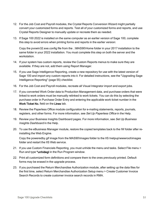- 12. For the Job Cost and Payroll modules, the Crystal Reports Conversion Wizard might partially convert your customized forms and reports. Test all of your customized forms and reports, and use Crystal Reports Designer to manually update or recreate them as needed.
- 13. If Sage 100 2022 is installed on the same computer as an earlier version of Sage 100, complete this step to avoid errors when printing forms and reports in the earlier version:

Copy the pvxwin32.exe.config file from the ..\MAS90\Home folder in your 2017 installation to the same folder in your 2022 installation. You must complete this step on both the server and the workstation.

- 14. If your system has custom reports, review the Custom Reports menus to make sure they are available. If they are not, add them using Report Manager.
- 15. If you use Sage Intelligence Reporting, create a new repository for use with the latest version of Sage 100 and import any custom reports into it. For detailed instructions, see the ["Upgrading](#page-56-0) Sage [Intelligence](#page-56-0) Reporting" (page 55) checklist.
- 16. For the Job Cost and Payroll modules, recreate all Visual Integrator import and export jobs.
- 17. If you converted Work Order data to Production Management data, and purchase orders that were linked to work orders must be manually relinked to work tickets. You can do this by selecting the purchase order in Purchase Order Entry and entering the applicable work ticket number in the Work Ticket No. field on the Lines tab.
- 18. Review the Paperless Office module configuration for e-mailing statements, reports, journals, registers, and other forms. For more information, see Set Up Paperless Office in the Help.
- 19. Review your Business Insights Dashboard pages. For more information, see Set Up Business Insights Dashboard in the Help.
- 20. To use the eBusiness Manager module, restore the copied templates back to the IW folder after reinstalling the Web Engine.

Copy the poweredby.gif image from the MAS90\Images folder to the IIS Inetpup\wwwroot\images folder and restart the IIS Web service.

- 21. If you use Custom Financials Reporting, you must unhide the menu and tasks. Select File menu > Run and type \*unhidegl in the Run Program window.
- 22. Print all customized form definitions and compare them to the ones previously printed. Default forms may be erased in the upgrade process.
- 23. If you purchased the Return Merchandise Authorization module, after setting up the data files for the first time, select Return Merchandise Authorization Setup menu > Create Customer Invoice Search Records to create customer invoice search records in RMA.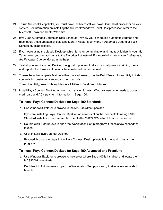- 24. To run Microsoft Script links, you must have the Microsoft Windows Script Host processor on your system. For information on installing the Microsoft Windows Script Host processor, refer to the Microsoft Download Center Web site.
- 25. If you use Automatic Update or Task Scheduler, review your scheduled automatic updates and reschedule those updates by selecting Library Master Main menu > Automatic Update or Task Scheduler, as applicable.
- 26. If you were using the classic Desktop, which is no longer available, and had task folders in your My Tasks area, you can add tasks to the Favorites list instead. For more information, see Add Items to the Favorites Content Group in the help.
- 27. Test all printers, including Device Configurator printers, that you normally use for printing forms and reports. Each workstation must have a default printer defined.
- 28. To use the auto-complete feature with enhanced search, run the Build Search Index utility to index your existing customer, vendor, and item records.

To run the utility, select Library Master > Utilities > Build Search Index.

29. Install Paya Connect Desktop on each workstation for each Windows user who needs to access credit card and ACH payment information in Sage 100.

## To install Paya Connect Desktop for Sage 100 Standard:

a. Use Windows Explorer to browse to the MAS90\Wksetup folder.

If you are installing Paya Connect Desktop on a workstation that connects to a Sage 100 Standard installation on a server, browser to the MAS90\Wksetup folder on the server.

- b. Double-click Autorun.exe to open the Workstation Setup program; it takes a few seconds to launch.
- c. Click Install Paya Connect Desktop.
- d. Proceed through the steps in the Paya Connect Desktop installation wizard to install the program.

#### To install Paya Connect Desktop for Sage 100 Advanced and Premium:

- a. Use Windows Explorer to browse to the server where Sage 100 is installed, and locate the MAS90\Wksetup folder.
- b. Double-click Autorun.exe to open the Workstation Setup program; it takes a few seconds to launch.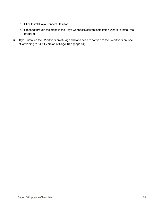- c. Click Install Paya Connect Desktop.
- d. Proceed through the steps in the Paya Connect Desktop installation wizard to install the program.
- 30. If you installed the 32-bit version of Sage 100 and need to convert to the 64-bit version, see ["Converting](#page-55-0) to 64-bit Version of Sage 100" (page 54).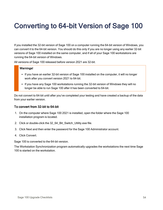# <span id="page-55-0"></span>Converting to 64-bit Version of Sage 100

If you installed the 32-bit version of Sage 100 on a computer running the 64-bit version of Windows, you can convert it to the 64-bit version. You should do this only if you are no longer using any earlier 32-bit versions of Sage 100 installed on the same computer, and if all of your Sage 100 workstations are running the 64-bit version of Windows.

All versions of Sage 100 released before version 2021 are 32-bit.

#### Warnings!

- If you have an earlier 32-bit version of Sage 100 installed on the computer, it will no longer work after you convert version 2021 to 64-bit.
- If you have any Sage 100 workstations running the 32-bit version of Windows they will no longer be able to run Sage 100 after it has been converted to 64-bit.

Do not convert to 64-bit until after you've completed your testing and have created a backup of the data from your earlier version.

### To convert from 32-bit to 64-bit

- 1. On the computer where Sage 100 2021 is installed, open the folder where the Sage 100 installation program is located.
- 2. Click or double-click the 32\_64\_Bit\_Switch\_Utility.exe file.
- 3. Click Next and then enter the password for the Sage 100 Administrator account.
- 4. Click Convert.

Sage 100 is converted to the 64-bit version.

The Workstation Synchronization program automatically upgrades the workstations the next time Sage 100 is started on the workstation.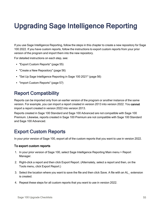# <span id="page-56-0"></span>Upgrading Sage Intelligence Reporting

If you use Sage Intelligence Reporting, follow the steps in this chapter to create a new repository for Sage 100 2022. If you have custom reports, follow the instructions to export custom reports from your prior version of the program and import them into the new repository.

For detailed instructions on each step, see:

- "Export Custom [Reports"](#page-56-1) (page 55)
- "Create a New [Repository"](#page-57-0) (page 56)
- "Set Up Sage [Intelligence](#page-57-1) Reporting in Sage 100 2021" (page 56)
- "Import Custom [Reports"](#page-58-0) (page 57)

# Report Compatibility

Reports can be imported only from an earlier version of the program or another instance of the same version. For example, you can import a report created in version 2013 into version 2022. You cannot import a report created in version 2022 into version 2013.

Reports created in Sage 100 Standard and Sage 100 Advanced are not compatible with Sage 100 Premium. Likewise, reports created in Sage 100 Premium are not compatible with Sage 100 Standard and Sage 100 Advanced.

## <span id="page-56-1"></span>Export Custom Reports

In your prior version of Sage 100, export all of the custom reports that you want to use in version 2022.

#### To export custom reports

- 1. In your prior version of Sage 100, select Sage Intelligence Reporting Main menu > Report Manager.
- 2. Right-click a report and then click Export Report. (Alternately, select a report and then, on the Tools menu, click Export Report.)
- 3. Select the location where you want to save the file and then click Save. A file with an AL\_ extension is created.
- 4. Repeat these steps for all custom reports that you want to use in version 2022.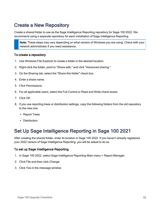# <span id="page-57-0"></span>Create a New Repository

Create a shared folder to use as the Sage Intelligence Reporting repository for Sage 100 2022. We recommend using a separate repository for each installation of Sage Intelligence Reporting.

Note: These steps may vary depending on what version of Windows you are using. Check with your network administrator if you need assistance.

#### To create a repository

- 1. Use Windows File Explorer to create a folder in the desired location.
- 2. Right-click the folder, point to "Share with," and click "Advanced sharing."
- 3. On the Sharing tab, select the "Share this folder" check box.
- 4. Enter a share name.
- 5. Click Permissions.
- 6. For all applicable users, select the Full Control or Read and Write check boxes.
- 7. Click OK.
- 8. If you use reporting trees or distribution settings, copy the following folders from the old repository to the new one:
	- Report Trees
	- Distribution

## <span id="page-57-1"></span>Set Up Sage Intelligence Reporting in Sage 100 2021

After creating the shared folder, enter its location in Sage 100 2022. If you haven't already registered your 2022 version of Sage Intelligence Reporting, you will be asked to do so.

#### To set up Sage Intelligence Reporting

- 1. In Sage 100 2022, select Sage Intelligence Reporting Main menu > Report Manager.
- 2. Click File and then click Change.
- 3. Click Yes in the message window.